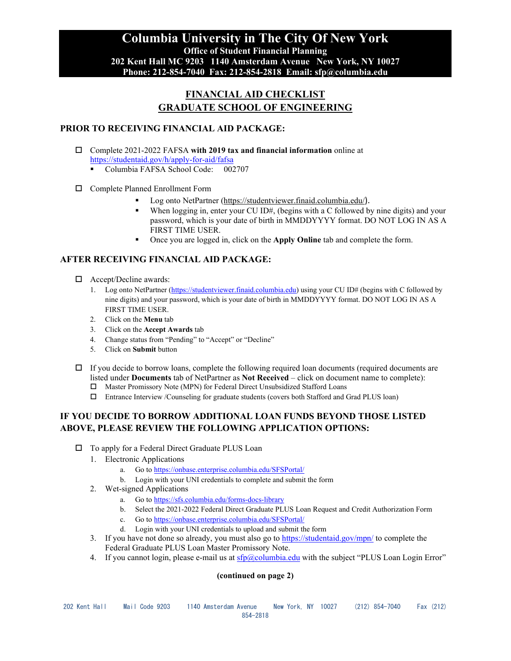# **FINANCIAL AID CHECKLIST GRADUATE SCHOOL OF ENGINEERING**

### **PRIOR TO RECEIVING FINANCIAL AID PACKAGE:**

- Complete 2021-2022 FAFSA **with 2019 tax and financial information** online at <https://studentaid.gov/h/apply-for-aid/fafsa>
	- Columbia FAFSA School Code: 002707
- □ Complete Planned Enrollment Form
	- Log onto NetPartner [\(https://studentviewer.finaid.columbia.edu/](https://studentviewer.finaid.columbia.edu/)).
	- When logging in, enter your CU ID#, (begins with a C followed by nine digits) and your password, which is your date of birth in MMDDYYYY format. DO NOT LOG IN AS A FIRST TIME USER.
	- Once you are logged in, click on the **Apply Online** tab and complete the form.

## **AFTER RECEIVING FINANCIAL AID PACKAGE:**

- □ Accept/Decline awards:
	- 1. Log onto NetPartner [\(https://studentviewer.finaid.columbia.edu\)](https://studentviewer.finaid.columbia.edu/) using your CU ID# (begins with C followed by nine digits) and your password, which is your date of birth in MMDDYYYY format. DO NOT LOG IN AS A FIRST TIME USER.
	- 2. Click on the **Menu** tab
	- 3. Click on the **Accept Awards** tab
	- 4. Change status from "Pending" to "Accept" or "Decline"
	- 5. Click on **Submit** button
- $\Box$  If you decide to borrow loans, complete the following required loan documents (required documents are listed under **Documents** tab of NetPartner as **Not Received** – click on document name to complete):
	- Master Promissory Note (MPN) for Federal Direct Unsubsidized Stafford Loans
	- Entrance Interview /Counseling for graduate students (covers both Stafford and Grad PLUS loan)

### **IF YOU DECIDE TO BORROW ADDITIONAL LOAN FUNDS BEYOND THOSE LISTED ABOVE, PLEASE REVIEW THE FOLLOWING APPLICATION OPTIONS:**

- □ To apply for a Federal Direct Graduate PLUS Loan
	- 1. Electronic Applications
		- a. Go t[o https://onbase.enterprise.columbia.edu/SFSPortal/](https://onbase.enterprise.columbia.edu/SFSPortal/)
		- b. Login with your UNI credentials to complete and submit the form
	- 2. Wet-signed Applications
		- a. Go t[o https://sfs.columbia.edu/forms-docs-library](https://sfs.columbia.edu/forms-docs-library)
		- b. Select the 2021-2022 Federal Direct Graduate PLUS Loan Request and Credit Authorization Form
		- c. Go t[o https://onbase.enterprise.columbia.edu/SFSPortal/](https://onbase.enterprise.columbia.edu/SFSPortal/)
		- d. Login with your UNI credentials to upload and submit the form
	- 3. If you have not done so already, you must also go to<https://studentaid.gov/mpn/> to complete the Federal Graduate PLUS Loan Master Promissory Note.
	- 4. If you cannot login, please e-mail us at  $sfp@columnba.edu$  with the subject "PLUS Loan Login Error"

#### **(continued on page 2)**